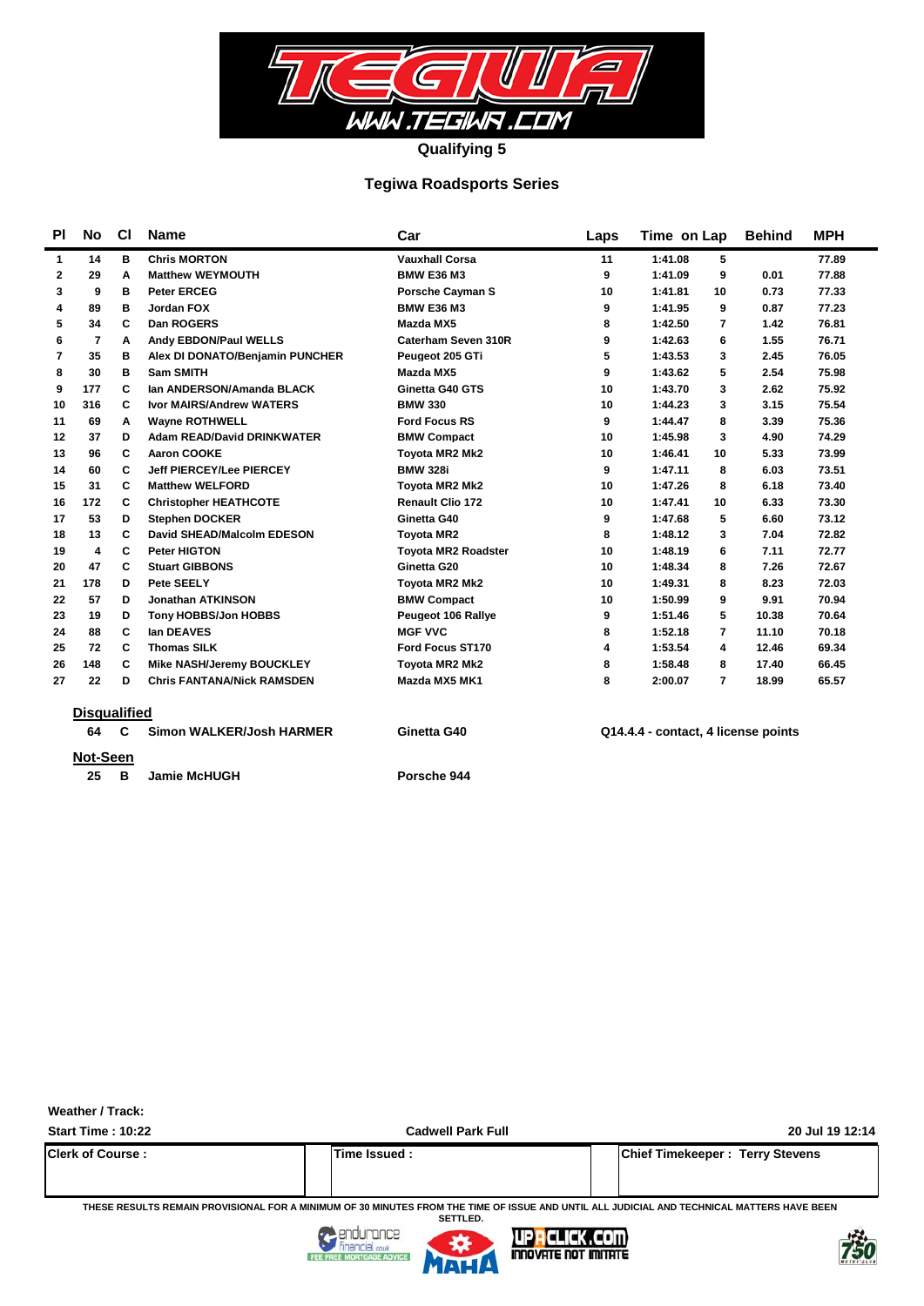

### **Tegiwa Roadsports Series**

| <b>PI</b> | No                  | <b>CI</b> | <b>Name</b>                       | Car                        | Laps | Time on Lap                         | <b>Behind</b> | <b>MPH</b> |
|-----------|---------------------|-----------|-----------------------------------|----------------------------|------|-------------------------------------|---------------|------------|
| 1         | 14                  | в         | <b>Chris MORTON</b>               | <b>Vauxhall Corsa</b>      | 11   | 1:41.08<br>5                        |               | 77.89      |
| 2         | 29                  | Α         | <b>Matthew WEYMOUTH</b>           | <b>BMW E36 M3</b>          | 9    | 1:41.09<br>9                        | 0.01          | 77.88      |
| 3         | 9                   | в         | <b>Peter ERCEG</b>                | <b>Porsche Cavman S</b>    | 10   | 1:41.81<br>10                       | 0.73          | 77.33      |
| 4         | 89                  | в         | Jordan FOX                        | <b>BMW E36 M3</b>          | 9    | 1:41.95<br>9                        | 0.87          | 77.23      |
| 5         | 34                  | C         | Dan ROGERS                        | Mazda MX5                  | 8    | 1:42.50<br>7                        | 1.42          | 76.81      |
| 6         | 7                   | А         | Andy EBDON/Paul WELLS             | Caterham Seven 310R        | 9    | 1:42.63<br>6                        | 1.55          | 76.71      |
| 7         | 35                  | в         | Alex DI DONATO/Benjamin PUNCHER   | Peugeot 205 GTi            | 5    | 1:43.53<br>3                        | 2.45          | 76.05      |
| 8         | 30                  | в         | <b>Sam SMITH</b>                  | Mazda MX5                  | 9    | 5<br>1:43.62                        | 2.54          | 75.98      |
| 9         | 177                 | C         | Ian ANDERSON/Amanda BLACK         | Ginetta G40 GTS            | 10   | 1:43.70<br>3                        | 2.62          | 75.92      |
| 10        | 316                 | C         | <b>Ivor MAIRS/Andrew WATERS</b>   | <b>BMW 330</b>             | 10   | 1:44.23<br>3                        | 3.15          | 75.54      |
| 11        | 69                  | Α         | <b>Wayne ROTHWELL</b>             | <b>Ford Focus RS</b>       | 9    | 1:44.47<br>8                        | 3.39          | 75.36      |
| 12        | 37                  | D         | <b>Adam READ/David DRINKWATER</b> | <b>BMW Compact</b>         | 10   | 1:45.98<br>3                        | 4.90          | 74.29      |
| 13        | 96                  | C         | <b>Aaron COOKE</b>                | <b>Tovota MR2 Mk2</b>      | 10   | 1:46.41<br>10                       | 5.33          | 73.99      |
| 14        | 60                  | C         | <b>Jeff PIERCEY/Lee PIERCEY</b>   | <b>BMW 328i</b>            | 9    | 1:47.11<br>8                        | 6.03          | 73.51      |
| 15        | 31                  | C         | <b>Matthew WELFORD</b>            | Toyota MR2 Mk2             | 10   | 1:47.26<br>8                        | 6.18          | 73.40      |
| 16        | 172                 | C         | <b>Christopher HEATHCOTE</b>      | <b>Renault Clio 172</b>    | 10   | 1:47.41<br>10                       | 6.33          | 73.30      |
| 17        | 53                  | D         | <b>Stephen DOCKER</b>             | Ginetta G40                | 9    | 5<br>1:47.68                        | 6.60          | 73.12      |
| 18        | 13                  | C         | David SHEAD/Malcolm EDESON        | <b>Tovota MR2</b>          | 8    | 1:48.12<br>3                        | 7.04          | 72.82      |
| 19        | 4                   | C         | <b>Peter HIGTON</b>               | <b>Tovota MR2 Roadster</b> | 10   | 1:48.19<br>6                        | 7.11          | 72.77      |
| 20        | 47                  | С         | <b>Stuart GIBBONS</b>             | Ginetta G20                | 10   | 1:48.34<br>8                        | 7.26          | 72.67      |
| 21        | 178                 | D         | Pete SEELY                        | <b>Toyota MR2 Mk2</b>      | 10   | 8<br>1:49.31                        | 8.23          | 72.03      |
| 22        | 57                  | D         | <b>Jonathan ATKINSON</b>          | <b>BMW Compact</b>         | 10   | 1:50.99<br>9                        | 9.91          | 70.94      |
| 23        | 19                  | D         | Tony HOBBS/Jon HOBBS              | Peugeot 106 Rallye         | 9    | 5<br>1:51.46                        | 10.38         | 70.64      |
| 24        | 88                  | C         | lan DEAVES                        | <b>MGF VVC</b>             | 8    | 1:52.18<br>7                        | 11.10         | 70.18      |
| 25        | 72                  | C         | <b>Thomas SILK</b>                | Ford Focus ST170           | 4    | 1:53.54<br>4                        | 12.46         | 69.34      |
| 26        | 148                 | С         | <b>Mike NASH/Jeremy BOUCKLEY</b>  | <b>Toyota MR2 Mk2</b>      | 8    | 1:58.48<br>8                        | 17.40         | 66.45      |
| 27        | 22                  | D         | <b>Chris FANTANA/Nick RAMSDEN</b> | Mazda MX5 MK1              | 8    | 2:00.07<br>$\overline{7}$           | 18.99         | 65.57      |
|           | <b>Disqualified</b> |           |                                   |                            |      |                                     |               |            |
|           | 64                  | C         | Simon WALKER/Josh HARMER          | Ginetta G40                |      | Q14.4.4 - contact, 4 license points |               |            |

- **Not-Seen**
	- **25 Jamie McHUGH B Porsche 944**
		-

**Weather / Track:** 

**Start Time : 10:22 Cadwell Park Full 20 Jul 19 12:14 Clerk of Course : Time Issued : Chief Timekeeper : Terry Stevens**

**THESE RESULTS REMAIN PROVISIONAL FOR A MINIMUM OF 30 MINUTES FROM THE TIME OF ISSUE AND UNTIL ALL JUDICIAL AND TECHNICAL MATTERS HAVE BEEN SETTLED.**





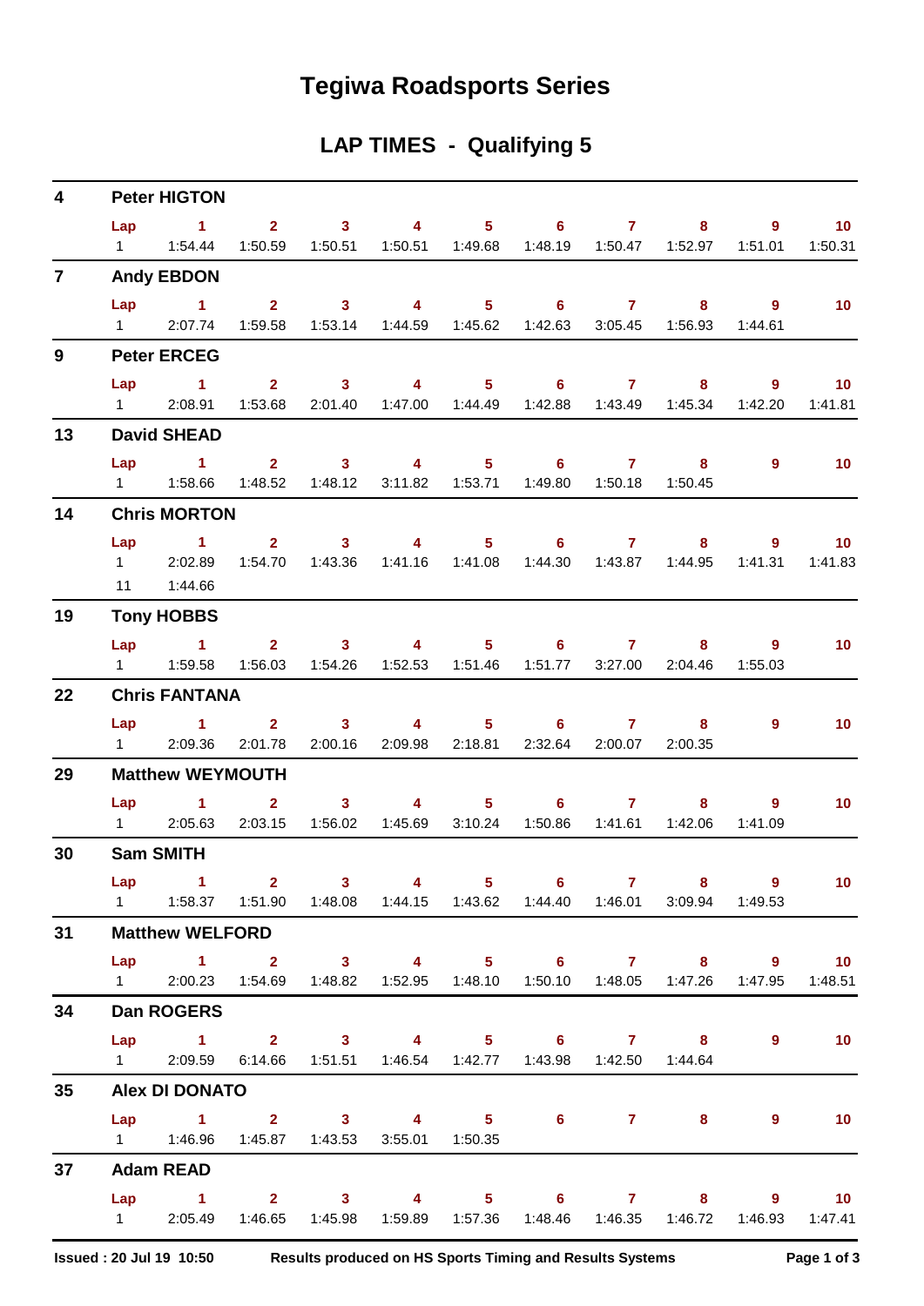# **Tegiwa Roadsports Series**

## **LAP TIMES - Qualifying 5**

| $\overline{\mathbf{4}}$ |     | <b>Peter HIGTON</b>                                                                                   |                                                                                                                                                                                                                                                                                                                                                                                                       |  |                                                           |  |                |                   |
|-------------------------|-----|-------------------------------------------------------------------------------------------------------|-------------------------------------------------------------------------------------------------------------------------------------------------------------------------------------------------------------------------------------------------------------------------------------------------------------------------------------------------------------------------------------------------------|--|-----------------------------------------------------------|--|----------------|-------------------|
|                         |     | Lap 1 2 3 4 5 6 7 8 9 10                                                                              |                                                                                                                                                                                                                                                                                                                                                                                                       |  |                                                           |  |                |                   |
|                         |     | 1   1:54.44   1:50.59   1:50.51   1:50.51   1:49.68   1:48.19   1:50.47   1:52.97   1:51.01   1:50.31 |                                                                                                                                                                                                                                                                                                                                                                                                       |  |                                                           |  |                |                   |
| $\overline{7}$          |     | <b>Andy EBDON</b>                                                                                     |                                                                                                                                                                                                                                                                                                                                                                                                       |  |                                                           |  |                |                   |
|                         |     | Lap 1 2 3 4 5 6 7 8 9                                                                                 |                                                                                                                                                                                                                                                                                                                                                                                                       |  |                                                           |  |                | 10                |
|                         |     | 1 2:07.74 1:59.58 1:53.14 1:44.59 1:45.62 1:42.63 3:05.45 1:56.93                                     |                                                                                                                                                                                                                                                                                                                                                                                                       |  |                                                           |  | 1:44.61        |                   |
| 9                       |     | <b>Peter ERCEG</b>                                                                                    |                                                                                                                                                                                                                                                                                                                                                                                                       |  |                                                           |  |                |                   |
|                         | Lap | $\sim$ 1                                                                                              |                                                                                                                                                                                                                                                                                                                                                                                                       |  | $2 \qquad 3 \qquad 4 \qquad 5 \qquad 6 \qquad 7 \qquad 8$ |  |                | $9 \t 10$         |
|                         |     | 1 2:08.91 1:53.68 2:01.40 1:47.00 1:44.49 1:42.88 1:43.49 1:45.34 1:42.20 1:41.81                     |                                                                                                                                                                                                                                                                                                                                                                                                       |  |                                                           |  |                |                   |
| 13                      |     | <b>David SHEAD</b>                                                                                    |                                                                                                                                                                                                                                                                                                                                                                                                       |  |                                                           |  |                |                   |
|                         |     | Lap 1 2 3 4 5 6 7 8                                                                                   |                                                                                                                                                                                                                                                                                                                                                                                                       |  |                                                           |  | $\overline{9}$ | $\blacksquare$ 10 |
|                         |     | 1   1:58.66   1:48.52   1:48.12   3:11.82   1:53.71   1:49.80   1:50.18   1:50.45                     |                                                                                                                                                                                                                                                                                                                                                                                                       |  |                                                           |  |                |                   |
| 14                      |     | <b>Chris MORTON</b>                                                                                   |                                                                                                                                                                                                                                                                                                                                                                                                       |  |                                                           |  |                |                   |
|                         |     | Lap 1 2 3 4 5 6 7 8 9 10                                                                              |                                                                                                                                                                                                                                                                                                                                                                                                       |  |                                                           |  |                |                   |
|                         |     | 1 2:02.89 1:54.70 1:43.36 1:41.16 1:41.08 1:44.30 1:43.87 1:44.95 1:41.31 1:41.83                     |                                                                                                                                                                                                                                                                                                                                                                                                       |  |                                                           |  |                |                   |
|                         |     | 11  1:44.66                                                                                           |                                                                                                                                                                                                                                                                                                                                                                                                       |  |                                                           |  |                |                   |
| 19                      |     | <b>Tony HOBBS</b>                                                                                     |                                                                                                                                                                                                                                                                                                                                                                                                       |  |                                                           |  |                |                   |
|                         |     | Lap 1 2 3 4 5 6 7 8                                                                                   |                                                                                                                                                                                                                                                                                                                                                                                                       |  |                                                           |  | $9^{\circ}$    | 10                |
|                         |     | 1   1:59.58   1:56.03   1:54.26   1:52.53   1:51.46   1:51.77   3:27.00   2:04.46   1:55.03           |                                                                                                                                                                                                                                                                                                                                                                                                       |  |                                                           |  |                |                   |
| 22                      |     | <b>Chris FANTANA</b>                                                                                  |                                                                                                                                                                                                                                                                                                                                                                                                       |  |                                                           |  |                |                   |
|                         |     | Lap 1 2 3 4 5 6 7 8                                                                                   |                                                                                                                                                                                                                                                                                                                                                                                                       |  |                                                           |  | 9              | 10 <sup>°</sup>   |
|                         |     | 1 2:09.36 2:01.78                                                                                     |                                                                                                                                                                                                                                                                                                                                                                                                       |  | 2:00.16 2:09.98 2:18.81 2:32.64 2:00.07 2:00.35           |  |                |                   |
| 29                      |     | <b>Matthew WEYMOUTH</b>                                                                               |                                                                                                                                                                                                                                                                                                                                                                                                       |  |                                                           |  |                |                   |
|                         |     | Lap 1                                                                                                 | $\overline{\mathbf{2}}$ and $\overline{\mathbf{2}}$ and $\overline{\mathbf{2}}$ and $\overline{\mathbf{2}}$ and $\overline{\mathbf{2}}$ and $\overline{\mathbf{2}}$ and $\overline{\mathbf{2}}$ and $\overline{\mathbf{2}}$ and $\overline{\mathbf{2}}$ and $\overline{\mathbf{2}}$ and $\overline{\mathbf{2}}$ and $\overline{\mathbf{2}}$ and $\overline{\mathbf{2}}$ and $\overline{\mathbf{2}}$ a |  | $3 \qquad 4 \qquad 5 \qquad 6 \qquad 7$                   |  | $8 - 1$<br>9   | 10 <sub>1</sub>   |
|                         |     | 1 2:05.63 2:03.15 1:56.02 1:45.69 3:10.24 1:50.86 1:41.61 1:42.06                                     |                                                                                                                                                                                                                                                                                                                                                                                                       |  |                                                           |  | 1:41.09        |                   |
| 30                      |     | <b>Sam SMITH</b>                                                                                      |                                                                                                                                                                                                                                                                                                                                                                                                       |  |                                                           |  |                |                   |
|                         |     | Lap 1 2 3 4 5 6 7 8 9                                                                                 |                                                                                                                                                                                                                                                                                                                                                                                                       |  |                                                           |  |                | $\overline{10}$   |
|                         |     | 1   1:58.37   1:51.90   1:48.08   1:44.15   1:43.62   1:44.40   1:46.01   3:09.94                     |                                                                                                                                                                                                                                                                                                                                                                                                       |  |                                                           |  | 1:49.53        |                   |
| 31                      |     | <b>Matthew WELFORD</b>                                                                                |                                                                                                                                                                                                                                                                                                                                                                                                       |  |                                                           |  |                |                   |
|                         |     | Lap 1 2 3 4 5 6 7 8 9 10                                                                              |                                                                                                                                                                                                                                                                                                                                                                                                       |  |                                                           |  |                |                   |
|                         |     | 1 2:00.23 1:54.69 1:48.82 1:52.95 1:48.10 1:50.10 1:48.05 1:47.26 1:47.95 1:48.51                     |                                                                                                                                                                                                                                                                                                                                                                                                       |  |                                                           |  |                |                   |
| 34                      |     | Dan ROGERS                                                                                            |                                                                                                                                                                                                                                                                                                                                                                                                       |  |                                                           |  |                |                   |
|                         |     | Lap 1 2 3 4 5 6 7 8                                                                                   |                                                                                                                                                                                                                                                                                                                                                                                                       |  |                                                           |  | $9^{\circ}$    | 10                |
|                         |     | 1 2:09.59 6:14.66 1:51.51 1:46.54 1:42.77 1:43.98 1:42.50 1:44.64                                     |                                                                                                                                                                                                                                                                                                                                                                                                       |  |                                                           |  |                |                   |
| 35                      |     | <b>Alex DI DONATO</b>                                                                                 |                                                                                                                                                                                                                                                                                                                                                                                                       |  |                                                           |  |                |                   |
|                         | Lap | 1 2 3 4 5 6 7                                                                                         |                                                                                                                                                                                                                                                                                                                                                                                                       |  |                                                           |  | 9<br>$8 - 1$   | $\sim$ 10         |
|                         |     | 1   1:46.96   1:45.87   1:43.53   3:55.01   1:50.35                                                   |                                                                                                                                                                                                                                                                                                                                                                                                       |  |                                                           |  |                |                   |
| 37                      |     | <b>Adam READ</b>                                                                                      |                                                                                                                                                                                                                                                                                                                                                                                                       |  |                                                           |  |                |                   |
|                         |     | Lap 1 2 3 4 5 6 7 8 9 10                                                                              |                                                                                                                                                                                                                                                                                                                                                                                                       |  |                                                           |  |                |                   |
|                         |     | 1 2:05.49 1:46.65 1:45.98 1:59.89 1:57.36 1:48.46 1:46.35 1:46.72                                     |                                                                                                                                                                                                                                                                                                                                                                                                       |  |                                                           |  |                | 1:46.93  1:47.41  |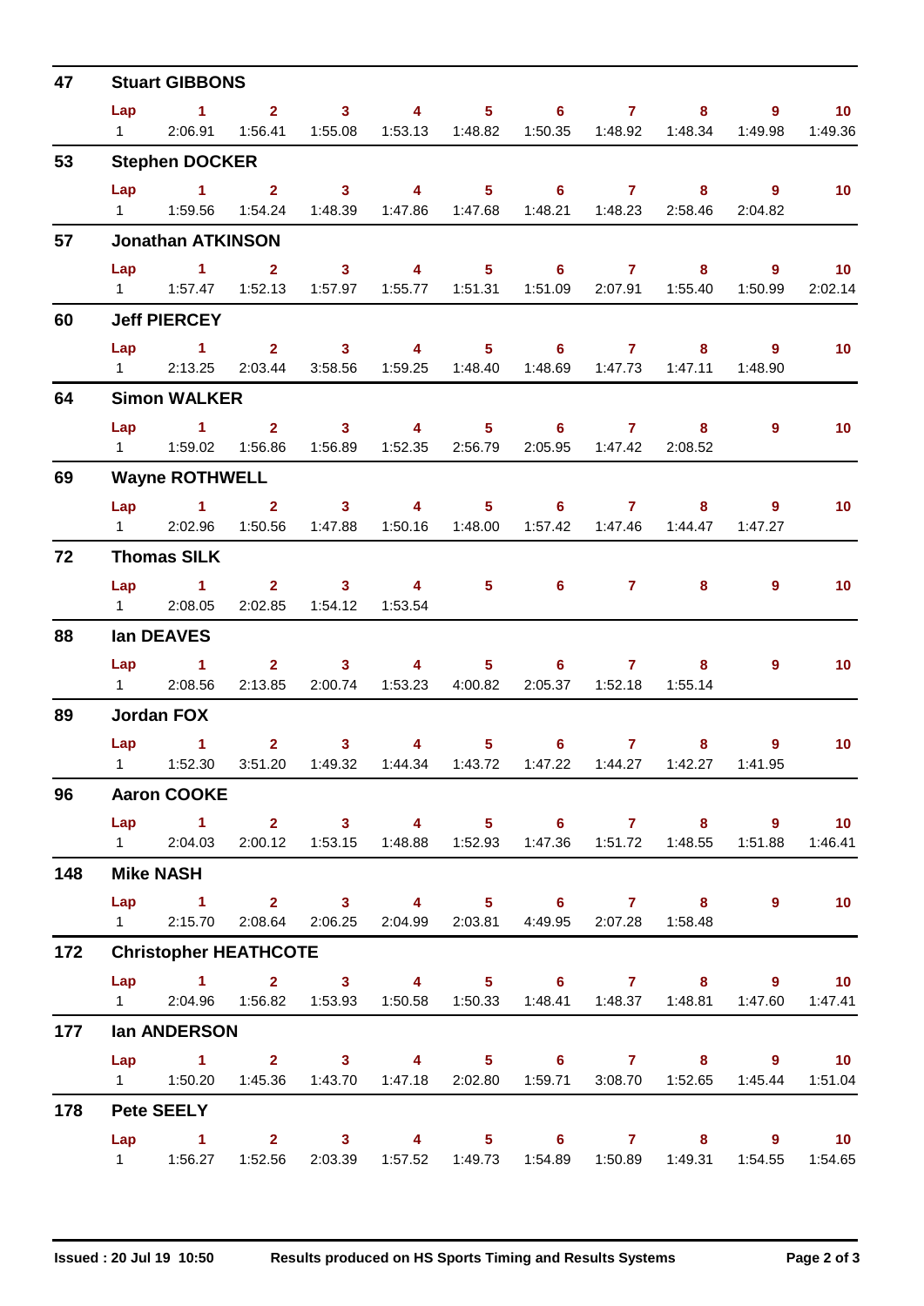| 47  |                | <b>Stuart GIBBONS</b>                                                                                     |                |                                                                                                                                                                                                                                                                                                                                                                                                                         |                                               |                                   |                                                      |                                   |                           |                                   |                            |
|-----|----------------|-----------------------------------------------------------------------------------------------------------|----------------|-------------------------------------------------------------------------------------------------------------------------------------------------------------------------------------------------------------------------------------------------------------------------------------------------------------------------------------------------------------------------------------------------------------------------|-----------------------------------------------|-----------------------------------|------------------------------------------------------|-----------------------------------|---------------------------|-----------------------------------|----------------------------|
|     | Lap            | $\sim$ 1.                                                                                                 |                | $2 \t 3 \t 4$                                                                                                                                                                                                                                                                                                                                                                                                           |                                               |                                   | $5 \t\t 6 \t\t 7$                                    |                                   |                           | 9                                 | 10 <sub>1</sub>            |
|     | $1 \quad \Box$ |                                                                                                           |                | 2:06.91  1:56.41  1:55.08  1:53.13  1:48.82  1:50.35  1:48.92  1:48.34                                                                                                                                                                                                                                                                                                                                                  |                                               |                                   |                                                      |                                   |                           | 1:49.98                           | 1:49.36                    |
| 53  |                | <b>Stephen DOCKER</b>                                                                                     |                |                                                                                                                                                                                                                                                                                                                                                                                                                         |                                               |                                   |                                                      |                                   |                           |                                   |                            |
|     |                | $Lap$ 1 2                                                                                                 |                | $\overline{\mathbf{3}}$                                                                                                                                                                                                                                                                                                                                                                                                 | $\overline{4}$                                |                                   | $5 \t\t 6 \t\t 7 \t\t 8$                             |                                   |                           | $\overline{9}$                    | 10                         |
|     | $1 \quad \Box$ |                                                                                                           |                | 1:59.56  1:54.24  1:48.39  1:47.86  1:47.68  1:48.21  1:48.23  2:58.46                                                                                                                                                                                                                                                                                                                                                  |                                               |                                   |                                                      |                                   |                           | 2:04.82                           |                            |
| 57  |                | <b>Jonathan ATKINSON</b>                                                                                  |                |                                                                                                                                                                                                                                                                                                                                                                                                                         |                                               |                                   |                                                      |                                   |                           |                                   |                            |
|     | Lap            | $\blacktriangleleft$<br>1   1:57.47   1:52.13   1:57.97   1:55.77   1:51.31   1:51.09   2:07.91   1:55.40 | 2 <sup>1</sup> | 3 <sup>1</sup>                                                                                                                                                                                                                                                                                                                                                                                                          | $\sim$ 4 $\sim$                               |                                   | $5 - 1$                                              | $6 \qquad \qquad 7 \qquad \qquad$ | 8                         | $9^{\circ}$<br>1:50.99            | 10 <sub>1</sub><br>2:02.14 |
|     |                |                                                                                                           |                |                                                                                                                                                                                                                                                                                                                                                                                                                         |                                               |                                   |                                                      |                                   |                           |                                   |                            |
| 60  |                | <b>Jeff PIERCEY</b>                                                                                       |                |                                                                                                                                                                                                                                                                                                                                                                                                                         |                                               |                                   |                                                      |                                   |                           |                                   |                            |
|     | Lap            | $1 \qquad 2 \qquad 3 \qquad 4 \qquad 5 \qquad 6 \qquad 7$<br>1 2:13.25 2:03.44                            |                | 3:58.56                                                                                                                                                                                                                                                                                                                                                                                                                 |                                               |                                   |                                                      |                                   |                           | $9^{\circ}$<br>$8 - 1$<br>1:48.90 | 10 <sub>1</sub>            |
| 64  |                | <b>Simon WALKER</b>                                                                                       |                |                                                                                                                                                                                                                                                                                                                                                                                                                         |                                               |                                   |                                                      |                                   |                           |                                   |                            |
|     | Lap            | $\sim$ 1.1                                                                                                |                | $2 \qquad \qquad 3$                                                                                                                                                                                                                                                                                                                                                                                                     | $\sim$ 4 and $\sim$ 4 and $\sim$ 4 and $\sim$ |                                   | $5 \t\t 6 \t\t 7$                                    |                                   | 8                         | $\overline{9}$                    | 10 <sub>1</sub>            |
|     |                |                                                                                                           |                |                                                                                                                                                                                                                                                                                                                                                                                                                         |                                               |                                   | 1:56.89  1:52.35  2:56.79  2:05.95  1:47.42  2:08.52 |                                   |                           |                                   |                            |
| 69  |                | <b>Wayne ROTHWELL</b>                                                                                     |                |                                                                                                                                                                                                                                                                                                                                                                                                                         |                                               |                                   |                                                      |                                   |                           |                                   |                            |
|     |                | Lap 1                                                                                                     | $\mathbf{2}$   | 3 <sup>7</sup>                                                                                                                                                                                                                                                                                                                                                                                                          | $\sim$ 4 and $\sim$                           | $5 -$                             |                                                      | $6 \qquad \qquad 7 \qquad \qquad$ | 8                         | $9^{\circ}$                       | 10 <sub>1</sub>            |
|     |                | 1 2:02.96 1:50.56 1:47.88                                                                                 |                |                                                                                                                                                                                                                                                                                                                                                                                                                         | 1:50.16  1:48.00                              |                                   |                                                      |                                   | 1:57.42  1:47.46  1:44.47 | 1:47.27                           |                            |
| 72  |                | <b>Thomas SILK</b>                                                                                        |                |                                                                                                                                                                                                                                                                                                                                                                                                                         |                                               |                                   |                                                      |                                   |                           |                                   |                            |
|     | Lap            | $\sim$ 1                                                                                                  |                | $2 \t 3$                                                                                                                                                                                                                                                                                                                                                                                                                | $\overline{4}$                                |                                   | $5^{\circ}$<br>$6^{\circ}$                           | 7 <sup>7</sup>                    | 8                         | 9                                 | 10 <sub>1</sub>            |
|     |                | 1 2:08.05 2:02.85 1:54.12 1:53.54                                                                         |                |                                                                                                                                                                                                                                                                                                                                                                                                                         |                                               |                                   |                                                      |                                   |                           |                                   |                            |
| 88  |                | lan DEAVES                                                                                                |                |                                                                                                                                                                                                                                                                                                                                                                                                                         |                                               |                                   |                                                      |                                   |                           |                                   |                            |
|     |                | $Lap$ 1                                                                                                   |                | 2 3 4 5 6 7 8                                                                                                                                                                                                                                                                                                                                                                                                           |                                               |                                   |                                                      |                                   |                           | 9                                 | 10 <sup>°</sup>            |
|     |                | 1 2:08.56                                                                                                 | 2:13.85        |                                                                                                                                                                                                                                                                                                                                                                                                                         | 2:00.74  1:53.23  4:00.82                     |                                   |                                                      | 2:05.37  1:52.18  1:55.14         |                           |                                   |                            |
| 89  |                | <b>Jordan FOX</b>                                                                                         |                |                                                                                                                                                                                                                                                                                                                                                                                                                         |                                               |                                   |                                                      |                                   |                           |                                   |                            |
|     |                | Lap 1<br>1   1:52.30   3:51.20   1:49.32   1:44.34   1:43.72   1:47.22   1:44.27   1:42.27   1:41.95      |                | 3 <sup>7</sup><br>$\overline{\mathbf{2}}$ and $\overline{\mathbf{2}}$ and $\overline{\mathbf{2}}$ and $\overline{\mathbf{2}}$ and $\overline{\mathbf{2}}$ and $\overline{\mathbf{2}}$ and $\overline{\mathbf{2}}$ and $\overline{\mathbf{2}}$ and $\overline{\mathbf{2}}$ and $\overline{\mathbf{2}}$ and $\overline{\mathbf{2}}$ and $\overline{\mathbf{2}}$ and $\overline{\mathbf{2}}$ and $\overline{\mathbf{2}}$ a |                                               | $\overline{4}$ and $\overline{4}$ | $5 - 5$<br>$6^{\circ}$                               |                                   | $7 \quad \circ$           | $8 - 1$<br>9                      | 10 <sup>°</sup>            |
| 96  |                | <b>Aaron COOKE</b>                                                                                        |                |                                                                                                                                                                                                                                                                                                                                                                                                                         |                                               |                                   |                                                      |                                   |                           |                                   |                            |
|     |                | Lap 1 2 3 4 5 6 7 8 9 10                                                                                  |                |                                                                                                                                                                                                                                                                                                                                                                                                                         |                                               |                                   |                                                      |                                   |                           |                                   |                            |
|     |                | 1 2:04.03 2:00.12 1:53.15 1:48.88 1:52.93 1:47.36 1:51.72 1:48.55 1:51.88 1:46.41                         |                |                                                                                                                                                                                                                                                                                                                                                                                                                         |                                               |                                   |                                                      |                                   |                           |                                   |                            |
| 148 |                | <b>Mike NASH</b>                                                                                          |                |                                                                                                                                                                                                                                                                                                                                                                                                                         |                                               |                                   |                                                      |                                   |                           |                                   |                            |
|     |                | Lap 1 2 3 4 5 6 7 8                                                                                       |                |                                                                                                                                                                                                                                                                                                                                                                                                                         |                                               |                                   |                                                      |                                   |                           |                                   | $9$ 10                     |
|     |                | 1  2:15.70  2:08.64  2:06.25  2:04.99  2:03.81  4:49.95  2:07.28  1:58.48                                 |                |                                                                                                                                                                                                                                                                                                                                                                                                                         |                                               |                                   |                                                      |                                   |                           |                                   |                            |
| 172 |                | <b>Christopher HEATHCOTE</b>                                                                              |                |                                                                                                                                                                                                                                                                                                                                                                                                                         |                                               |                                   |                                                      |                                   |                           |                                   |                            |
|     |                | Lap 1 2 3 4 5 6 7 8 9 10                                                                                  |                |                                                                                                                                                                                                                                                                                                                                                                                                                         |                                               |                                   |                                                      |                                   |                           |                                   |                            |
|     |                | 1 2:04.96 1:56.82 1:53.93 1:50.58 1:50.33 1:48.41 1:48.37 1:48.81 1:47.60 1:47.41                         |                |                                                                                                                                                                                                                                                                                                                                                                                                                         |                                               |                                   |                                                      |                                   |                           |                                   |                            |
| 177 |                | lan ANDERSON                                                                                              |                |                                                                                                                                                                                                                                                                                                                                                                                                                         |                                               |                                   |                                                      |                                   |                           |                                   |                            |
|     |                | Lap 1 2 3 4 5 6 7 8 9 10                                                                                  |                |                                                                                                                                                                                                                                                                                                                                                                                                                         |                                               |                                   |                                                      |                                   |                           |                                   |                            |
|     |                | 1   1:50.20   1:45.36   1:43.70   1:47.18   2:02.80   1:59.71   3:08.70   1:52.65   1:45.44   1:51.04     |                |                                                                                                                                                                                                                                                                                                                                                                                                                         |                                               |                                   |                                                      |                                   |                           |                                   |                            |
| 178 |                | <b>Pete SEELY</b>                                                                                         |                |                                                                                                                                                                                                                                                                                                                                                                                                                         |                                               |                                   |                                                      |                                   |                           |                                   |                            |
|     |                | Lap 1 2 3 4 5 6 7 8 9 10                                                                                  |                |                                                                                                                                                                                                                                                                                                                                                                                                                         |                                               |                                   |                                                      |                                   |                           |                                   |                            |
|     |                | 1   1:56.27   1:52.56   2:03.39   1:57.52   1:49.73   1:54.89   1:50.89   1:49.31                         |                |                                                                                                                                                                                                                                                                                                                                                                                                                         |                                               |                                   |                                                      |                                   |                           |                                   | 1:54.55   1:54.65          |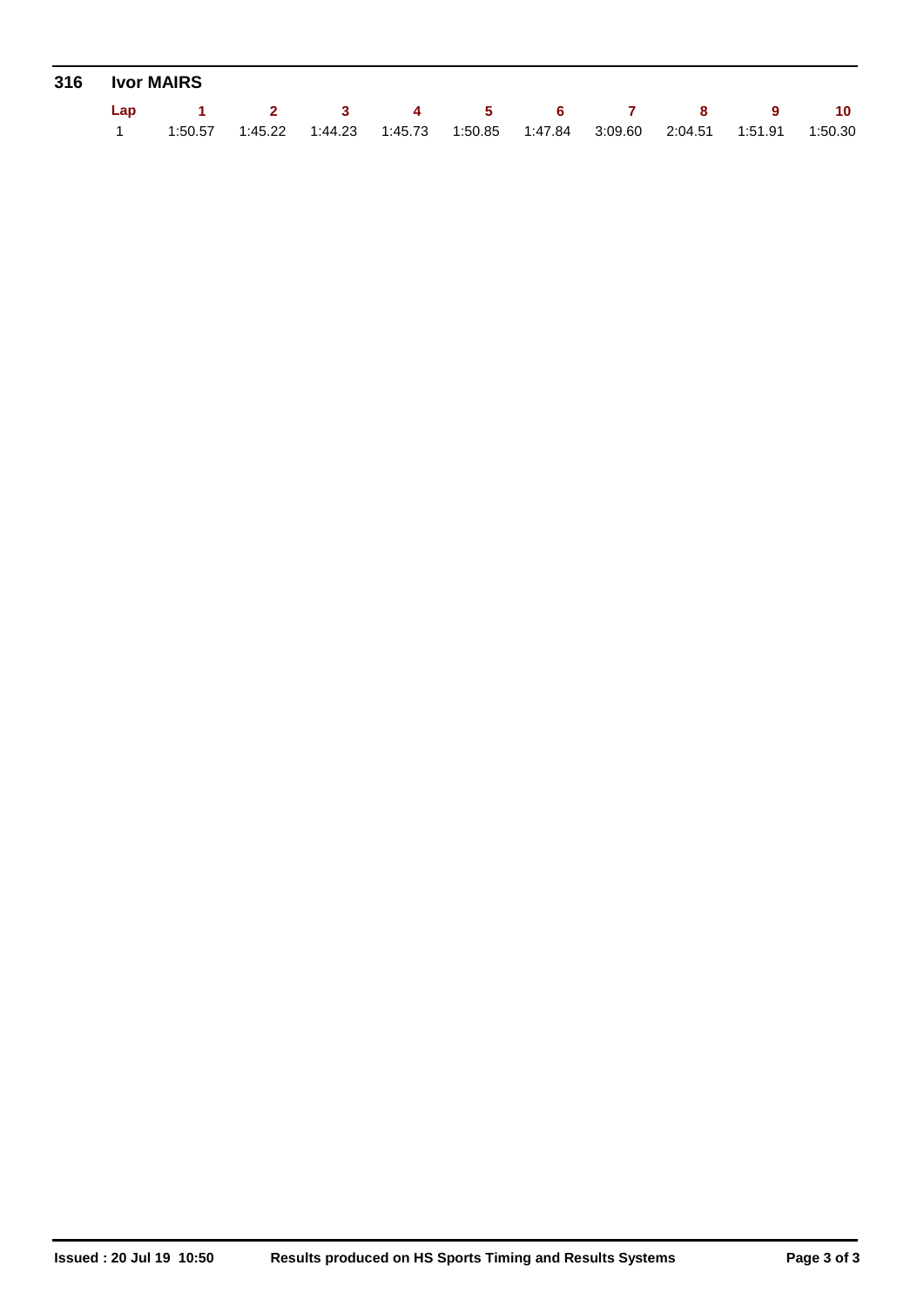|  | 316 Ivor MAIRS           |  |                                                                                                   |  |  |  |
|--|--------------------------|--|---------------------------------------------------------------------------------------------------|--|--|--|
|  | Lap 1 2 3 4 5 6 7 8 9 10 |  |                                                                                                   |  |  |  |
|  |                          |  | 1:50.57   1:45.22   1:44.23   1:45.73   1:50.85   1:47.84   3:09.60   2:04.51   1:51.91   1:50.30 |  |  |  |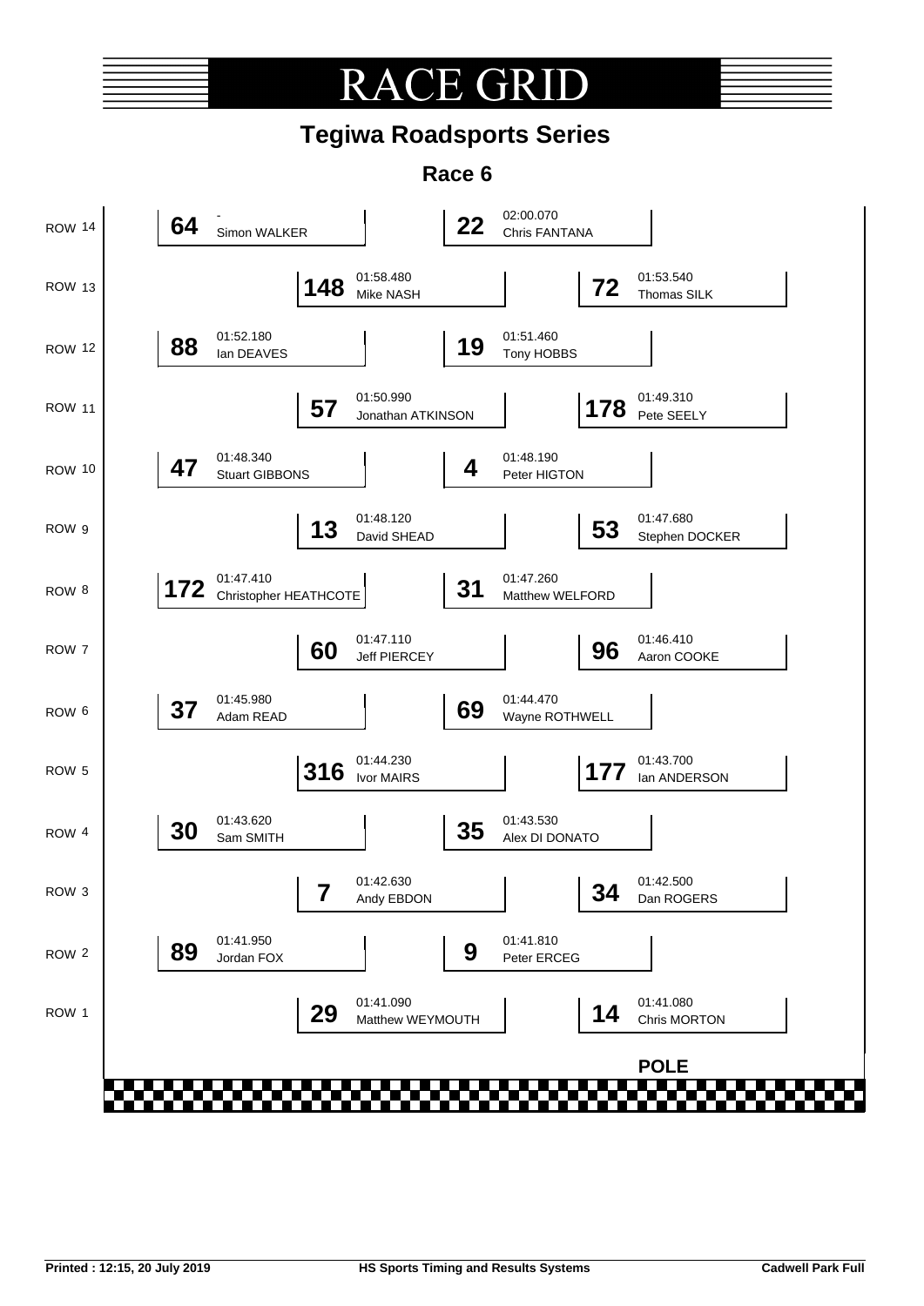# **RACE GR**

## **Tegiwa Roadsports Series**

**Race 6**

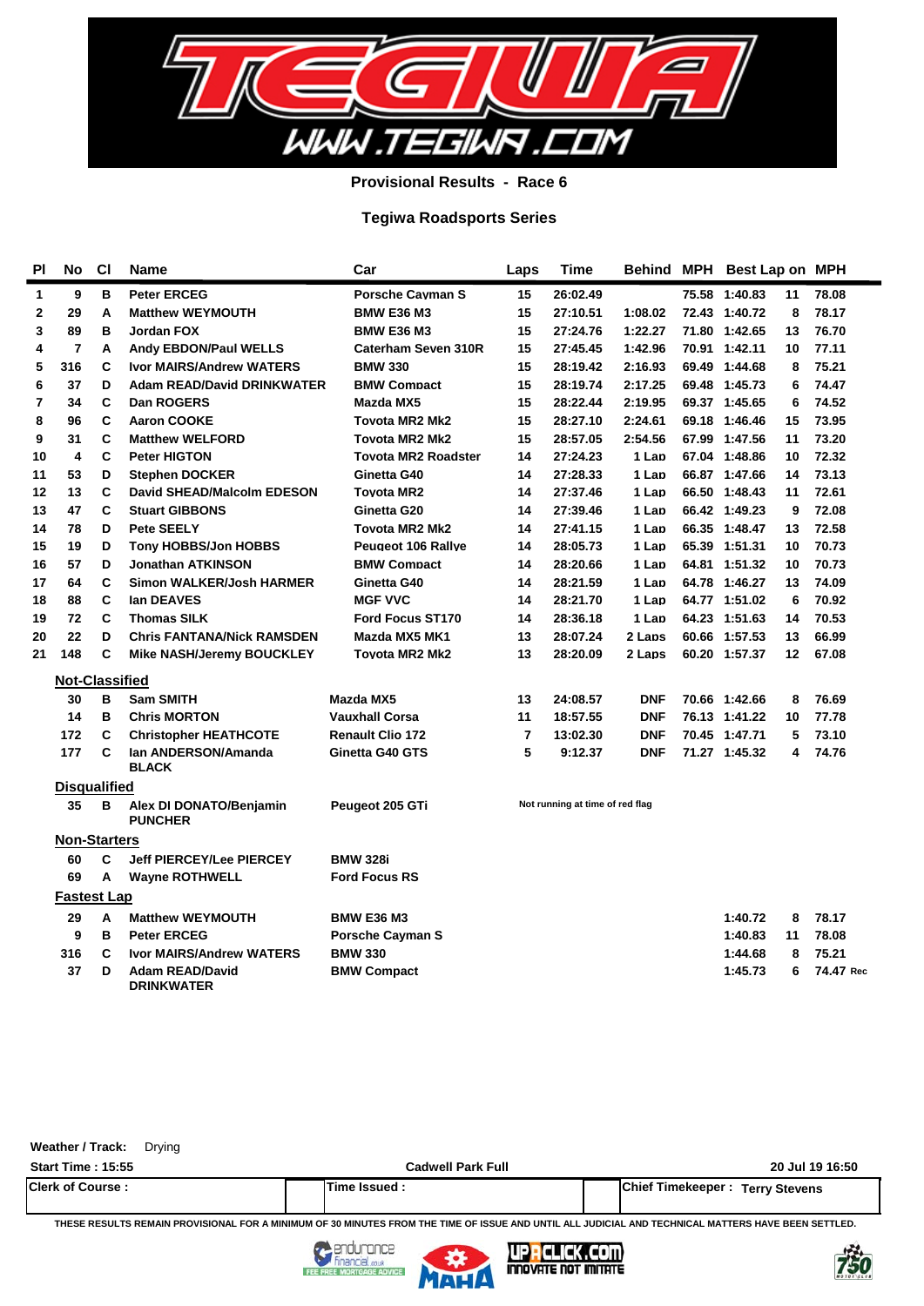

**Provisional Results - Race 6**

### **Tegiwa Roadsports Series**

| ΡI | No                    | <b>CI</b> | Name                                      | Car                        | Laps           | <b>Time</b>                     |            | Behind MPH Best Lap on MPH |    |           |
|----|-----------------------|-----------|-------------------------------------------|----------------------------|----------------|---------------------------------|------------|----------------------------|----|-----------|
| 1  | 9                     | в         | <b>Peter ERCEG</b>                        | Porsche Cavman S           | 15             | 26:02.49                        |            | 75.58 1:40.83              | 11 | 78.08     |
| 2  | 29                    | A         | <b>Matthew WEYMOUTH</b>                   | <b>BMW E36 M3</b>          | 15             | 27:10.51                        | 1:08.02    | 72.43 1:40.72              | 8  | 78.17     |
| 3  | 89                    | в         | Jordan FOX                                | <b>BMW E36 M3</b>          | 15             | 27:24.76                        | 1:22.27    | 71.80 1:42.65              | 13 | 76.70     |
| 4  | 7                     | Α         | <b>Andy EBDON/Paul WELLS</b>              | Caterham Seven 310R        | 15             | 27:45.45                        | 1:42.96    | 70.91 1:42.11              | 10 | 77.11     |
| 5  | 316                   | C         | <b>Ivor MAIRS/Andrew WATERS</b>           | <b>BMW 330</b>             | 15             | 28:19.42                        | 2:16.93    | 69.49 1:44.68              | 8  | 75.21     |
| 6  | 37                    | D         | <b>Adam READ/David DRINKWATER</b>         | <b>BMW Compact</b>         | 15             | 28:19.74                        | 2:17.25    | 69.48 1:45.73              | 6  | 74.47     |
| 7  | 34                    | C         | Dan ROGERS                                | Mazda MX5                  | 15             | 28:22.44                        | 2:19.95    | 69.37 1:45.65              | 6  | 74.52     |
| 8  | 96                    | C         | <b>Aaron COOKE</b>                        | <b>Tovota MR2 Mk2</b>      | 15             | 28:27.10                        | 2:24.61    | 69.18 1:46.46              | 15 | 73.95     |
| 9  | 31                    | C         | <b>Matthew WELFORD</b>                    | <b>Tovota MR2 Mk2</b>      | 15             | 28:57.05                        | 2:54.56    | 67.99 1:47.56              | 11 | 73.20     |
| 10 | 4                     | C         | <b>Peter HIGTON</b>                       | <b>Tovota MR2 Roadster</b> | 14             | 27:24.23                        | 1 Lap      | 67.04 1:48.86              | 10 | 72.32     |
| 11 | 53                    | D         | <b>Stephen DOCKER</b>                     | Ginetta G40                | 14             | 27:28.33                        | 1 Lap      | 66.87 1:47.66              | 14 | 73.13     |
| 12 | 13                    | C         | David SHEAD/Malcolm EDESON                | <b>Tovota MR2</b>          | 14             | 27:37.46                        | 1 Lap      | 66.50 1:48.43              | 11 | 72.61     |
| 13 | 47                    | C         | <b>Stuart GIBBONS</b>                     | Ginetta G20                | 14             | 27:39.46                        | 1 Lap      | 66.42 1:49.23              | 9  | 72.08     |
| 14 | 78                    | D         | <b>Pete SEELY</b>                         | <b>Tovota MR2 Mk2</b>      | 14             | 27:41.15                        | 1 Lap      | 66.35 1:48.47              | 13 | 72.58     |
| 15 | 19                    | D         | <b>Tony HOBBS/Jon HOBBS</b>               | <b>Peugeot 106 Rallve</b>  | 14             | 28:05.73                        | 1 Lan      | 65.39 1:51.31              | 10 | 70.73     |
| 16 | 57                    | D         | Jonathan ATKINSON                         | <b>BMW Compact</b>         | 14             | 28:20.66                        | 1 Lan      | 64.81 1:51.32              | 10 | 70.73     |
| 17 | 64                    | C         | <b>Simon WALKER/Josh HARMER</b>           | Ginetta G40                | 14             | 28:21.59                        | 1 Lap      | 64.78 1:46.27              | 13 | 74.09     |
| 18 | 88                    | C         | lan DEAVES                                | <b>MGF VVC</b>             | 14             | 28:21.70                        | 1 Lan      | 64.77 1:51.02              | 6  | 70.92     |
| 19 | 72                    | C         | <b>Thomas SILK</b>                        | <b>Ford Focus ST170</b>    | 14             | 28:36.18                        | 1 Lap      | 64.23 1:51.63              | 14 | 70.53     |
| 20 | 22                    | D         | <b>Chris FANTANA/Nick RAMSDEN</b>         | Mazda MX5 MK1              | 13             | 28:07.24                        | 2 Laps     | 60.66 1:57.53              | 13 | 66.99     |
| 21 | 148                   | C         | <b>Mike NASH/Jeremy BOUCKLEY</b>          | Tovota MR2 Mk2             | 13             | 28:20.09                        | 2 Laps     | 60.20 1:57.37              | 12 | 67.08     |
|    | <b>Not-Classified</b> |           |                                           |                            |                |                                 |            |                            |    |           |
|    | 30                    | в         | <b>Sam SMITH</b>                          | Mazda MX5                  | 13             | 24:08.57                        | <b>DNF</b> | 70.66 1:42.66              | 8  | 76.69     |
|    | 14                    | B         | <b>Chris MORTON</b>                       | <b>Vauxhall Corsa</b>      | 11             | 18:57.55                        | <b>DNF</b> | 76.13 1:41.22              | 10 | 77.78     |
|    | 172                   | C         | <b>Christopher HEATHCOTE</b>              | <b>Renault Clio 172</b>    | $\overline{7}$ | 13:02.30                        | <b>DNF</b> | 70.45 1:47.71              | 5  | 73.10     |
|    | 177                   | C         | Ian ANDERSON/Amanda<br><b>BLACK</b>       | Ginetta G40 GTS            | 5              | 9:12.37                         | <b>DNF</b> | 71.27 1:45.32              | 4  | 74.76     |
|    | <b>Disqualified</b>   |           |                                           |                            |                |                                 |            |                            |    |           |
|    | 35                    | в         | Alex DI DONATO/Benjamin<br><b>PUNCHER</b> | Peugeot 205 GTi            |                | Not running at time of red flag |            |                            |    |           |
|    | <b>Non-Starters</b>   |           |                                           |                            |                |                                 |            |                            |    |           |
|    | 60                    | C         | <b>Jeff PIERCEY/Lee PIERCEY</b>           | <b>BMW 328i</b>            |                |                                 |            |                            |    |           |
|    | 69                    | A         | <b>Wayne ROTHWELL</b>                     | <b>Ford Focus RS</b>       |                |                                 |            |                            |    |           |
|    | <b>Fastest Lap</b>    |           |                                           |                            |                |                                 |            |                            |    |           |
|    | 29                    | Α         | <b>Matthew WEYMOUTH</b>                   | <b>BMW E36 M3</b>          |                |                                 |            | 1:40.72                    | 8  | 78.17     |
|    | 9                     | в         | <b>Peter ERCEG</b>                        | <b>Porsche Cayman S</b>    |                |                                 |            | 1:40.83                    | 11 | 78.08     |
|    | 316                   | С         | <b>Ivor MAIRS/Andrew WATERS</b>           | <b>BMW 330</b>             |                |                                 |            | 1:44.68                    | 8  | 75.21     |
|    | 37                    | D         | <b>Adam READ/David</b>                    | <b>BMW Compact</b>         |                |                                 |            | 1:45.73                    | 6  | 74.47 Rec |

| Weather / Track: | Drying |
|------------------|--------|
|------------------|--------|

**DRINKWATER**

| <b>Start Time: 15:55</b> | Cadwell Park Full | 20 Jul 19 16:50                           |
|--------------------------|-------------------|-------------------------------------------|
| <b>Clerk of Course:</b>  | Time Issued       | Chief Timekeeper:<br><b>Terry Stevens</b> |

**THESE RESULTS REMAIN PROVISIONAL FOR A MINIMUM OF 30 MINUTES FROM THE TIME OF ISSUE AND UNTIL ALL JUDICIAL AND TECHNICAL MATTERS HAVE BEEN SETTLED.**



FEE



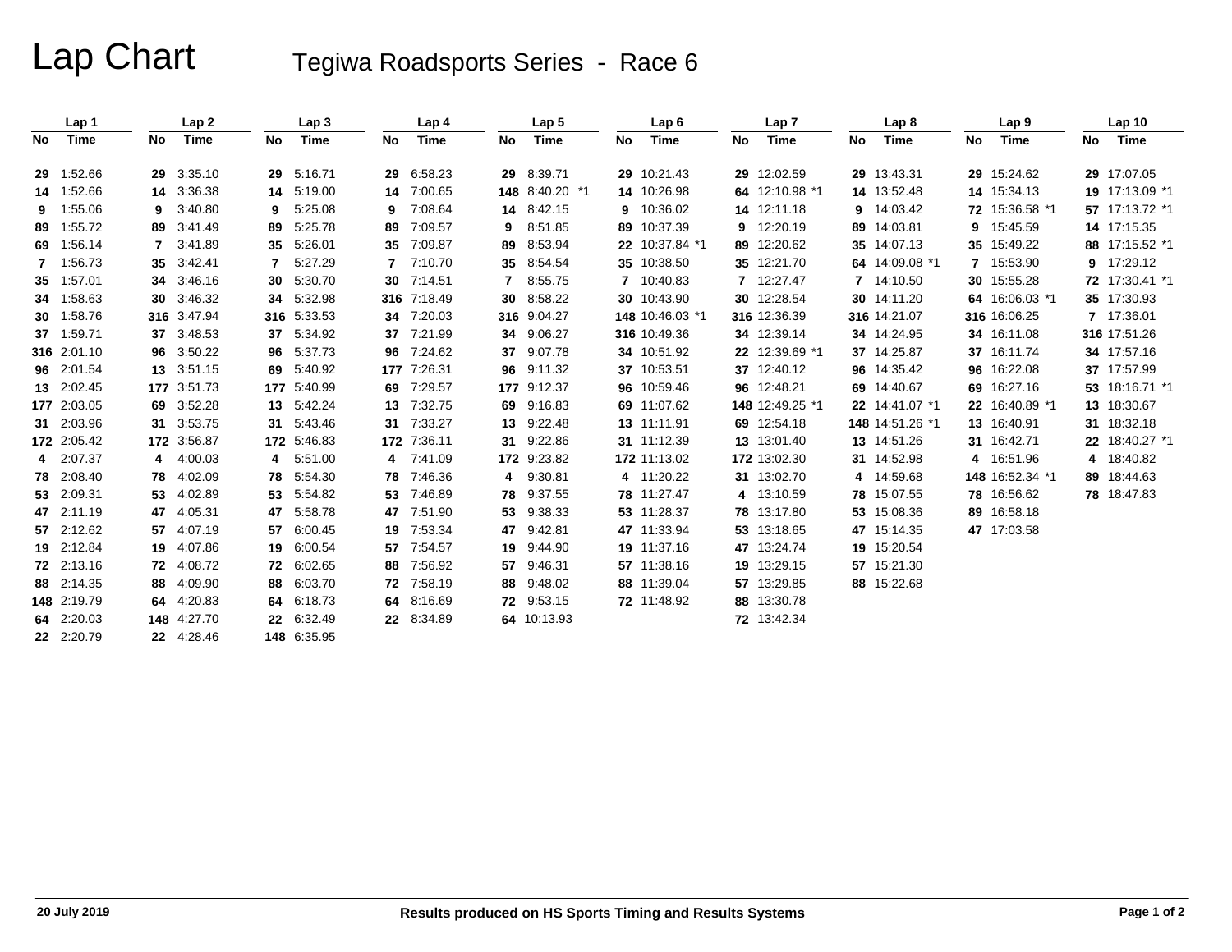# Lap Chart Tegiwa Roadsports Series - Race 6

|    | Lap 1       |              | Lap <sub>2</sub> |     | Lap <sub>3</sub> |              | Lap <sub>4</sub> |    | Lap <sub>5</sub> |    | Lap6            |    | Lap <sub>7</sub> |    | Lap <sub>8</sub> |    | Lap <sub>9</sub> |    | Lap <sub>10</sub> |
|----|-------------|--------------|------------------|-----|------------------|--------------|------------------|----|------------------|----|-----------------|----|------------------|----|------------------|----|------------------|----|-------------------|
| No | Time        | No           | Time             | No  | Time             | No           | Time             | No | Time             | No | Time            | No | Time             | No | Time             | No | Time             | No | Time              |
|    | 29 1:52.66  | 29           | 3:35.10          | 29  | 5:16.71          | 29           | 6:58.23          |    | 29 8:39.71       |    | 29 10:21.43     |    | 29 12:02.59      | 29 | 13:43.31         |    | 29 15:24.62      |    | 29 17:07.05       |
|    | 14 1:52.66  |              | 14 3:36.38       | 14  | 5:19.00          | 14           | 7:00.65          |    | 148 8:40.20 *1   |    | 14 10:26.98     |    | 64 12:10.98 *1   |    | 14 13:52.48      |    | 14 15:34.13      |    | 19 17:13.09 *1    |
| 9. | 1:55.06     | 9            | 3:40.80          | 9   | 5.25.08          | 9            | 7:08.64          |    | 14 8:42.15       |    | 9 10:36.02      |    | 14 12:11.18      | 9. | 14:03.42         |    | 72 15:36.58 *1   |    | 57 17:13.72 *1    |
| 89 | 1:55.72     | 89           | 3:41.49          | 89  | 5:25.78          | 89           | 7:09.57          | 9  | 8:51.85          |    | 89 10:37.39     |    | 9 12:20.19       | 89 | 14:03.81         | 9  | 15:45.59         |    | 14 17:15.35       |
|    | 69 1:56.14  | $\mathbf{7}$ | 3:41.89          | 35  | 5:26.01          | 35           | 7:09.87          | 89 | 8:53.94          |    | 22 10:37.84 *1  |    | 89 12:20.62      | 35 | 14:07.13         |    | 35 15:49.22      |    | 88 17:15.52 *1    |
|    | 7 1:56.73   |              | 35 3:42.41       |     | 5:27.29          | $\mathbf{7}$ | 7:10.70          |    | 35 8:54.54       |    | 35 10:38.50     |    | 35 12:21.70      |    | 64 14:09.08 *1   |    | 7 15:53.90       |    | 9 17:29.12        |
|    | 35 1:57.01  |              | 34 3:46.16       | 30  | 5:30.70          | 30           | 7:14.51          | 7  | 8:55.75          |    | 7 10:40.83      |    | 7 12:27.47       |    | 7 14:10.50       |    | 30 15:55.28      |    | 72 17:30.41 *1    |
|    | 34 1:58.63  |              | 30 3:46.32       | 34  | 5:32.98          |              | 316 7:18.49      | 30 | 8:58.22          |    | 30 10:43.90     |    | 30 12:28.54      |    | 30 14:11.20      |    | 64 16:06.03 *1   |    | 35 17:30.93       |
|    | 30 1:58.76  |              | 316 3:47.94      |     | 316 5:33.53      | 34           | 7:20.03          |    | 316 9:04.27      |    | 148 10:46.03 *1 |    | 316 12:36.39     |    | 316 14:21.07     |    | 316 16:06.25     |    | 7 17:36.01        |
|    | 37 1:59.71  |              | 37 3:48.53       | 37  | 5:34.92          |              | 37 7:21.99       |    | 34 9:06.27       |    | 316 10:49.36    |    | 34 12:39.14      |    | 34 14:24.95      |    | 34 16:11.08      |    | 316 17:51.26      |
|    | 316 2:01.10 |              | 96 3:50.22       | 96  | 5:37.73          | 96           | 7:24.62          | 37 | 9:07.78          |    | 34 10:51.92     |    | 22 12:39.69 *1   |    | 37 14:25.87      |    | 37 16:11.74      |    | 34 17:57.16       |
|    | 96 2:01.54  |              | 13 3.51.15       | 69  | 5:40.92          |              | 177 7:26.31      |    | 96 9:11.32       |    | 37 10:53.51     |    | 37 12:40.12      | 96 | 14:35.42         |    | 96 16:22.08      |    | 37 17:57.99       |
|    | 13 2:02.45  |              | 177 3:51.73      | 177 | 5:40.99          | 69           | 7:29.57          |    | 177 9:12.37      |    | 96 10:59.46     |    | 96 12:48.21      | 69 | 14:40.67         |    | 69 16:27.16      |    | 53 18:16.71 *1    |
|    | 177 2:03.05 |              | 69 3:52.28       |     | 13 5:42.24       | 13           | 7:32.75          |    | 69 9:16.83       |    | 69 11:07.62     |    | 148 12:49.25 *1  |    | 22 14:41.07 *1   |    | 22 16:40.89 *1   |    | 13 18:30.67       |
|    | 31 2:03.96  |              | 31 3:53.75       | 31  | 5:43.46          | 31           | 7:33.27          |    | 13 9:22.48       |    | 13 11:11.91     |    | 69 12:54.18      |    | 148 14:51.26 *1  |    | 13 16:40.91      |    | 31 18:32.18       |
|    | 172 2:05.42 |              | 172 3:56.87      |     | 172 5:46.83      |              | 172 7:36.11      |    | 31 9:22.86       |    | 31 11:12.39     |    | 13 13:01.40      |    | 13 14:51.26      |    | 31 16:42.71      |    | 22 18:40.27 *1    |
|    | 4 2:07.37   | 4            | 4:00.03          | 4   | 5:51.00          | 4            | 7:41.09          |    | 172 9:23.82      |    | 172 11:13.02    |    | 172 13:02.30     |    | 31 14:52.98      |    | 4 16:51.96       |    | 4 18:40.82        |
|    | 78 2:08.40  |              | 78 4:02.09       | 78  | 5:54.30          | 78           | 7:46.36          |    | 4 9:30.81        |    | 4 11:20.22      |    | 31 13:02.70      |    | 4 14:59.68       |    | 148 16:52.34 *1  |    | 89 18:44.63       |
|    | 53 2:09.31  |              | 53 4:02.89       | 53  | 5:54.82          | 53           | 7:46.89          |    | 78 9:37.55       |    | 78 11:27.47     |    | 4 13:10.59       |    | 78 15:07.55      |    | 78 16:56.62      |    | 78 18:47.83       |
|    | 47 2:11.19  |              | 47 4:05.31       | 47  | 5:58.78          | 47           | 7:51.90          |    | 53 9:38.33       |    | 53 11:28.37     |    | 78 13:17.80      | 53 | 15:08.36         |    | 89 16:58.18      |    |                   |
|    | 57 2:12.62  | 57           | 4:07.19          | 57  | 6:00.45          | 19           | 7:53.34          |    | 47 9:42.81       |    | 47 11:33.94     |    | 53 13:18.65      |    | 47 15:14.35      |    | 47 17:03.58      |    |                   |
|    | 19 2:12.84  |              | 19 4:07.86       |     | 19 6:00.54       | 57           | 7:54.57          |    | 19 9:44.90       |    | 19 11:37.16     |    | 47 13:24.74      |    | 19 15:20.54      |    |                  |    |                   |
|    | 72 2:13.16  |              | 72 4:08.72       | 72  | 6:02.65          | 88           | 7:56.92          | 57 | 9:46.31          |    | 57 11:38.16     |    | 19 13:29.15      |    | 57 15:21.30      |    |                  |    |                   |
|    | 88 2:14.35  | 88           | 4:09.90          | 88  | 6:03.70          | 72           | 7:58.19          |    | 88 9:48.02       |    | 88 11:39.04     |    | 57 13:29.85      |    | 88 15:22.68      |    |                  |    |                   |
|    | 148 2:19.79 |              | 64 4:20.83       | 64  | 6:18.73          | 64           | 8:16.69          |    | 72 9:53.15       |    | 72 11:48.92     |    | 88 13:30.78      |    |                  |    |                  |    |                   |
|    | 64 2:20.03  |              | 148 4:27.70      |     | 22 6:32.49       |              | 22 8:34.89       |    | 64 10:13.93      |    |                 |    | 72 13:42.34      |    |                  |    |                  |    |                   |
|    | 22 2:20.79  |              | 22 4:28.46       |     | 148 6:35.95      |              |                  |    |                  |    |                 |    |                  |    |                  |    |                  |    |                   |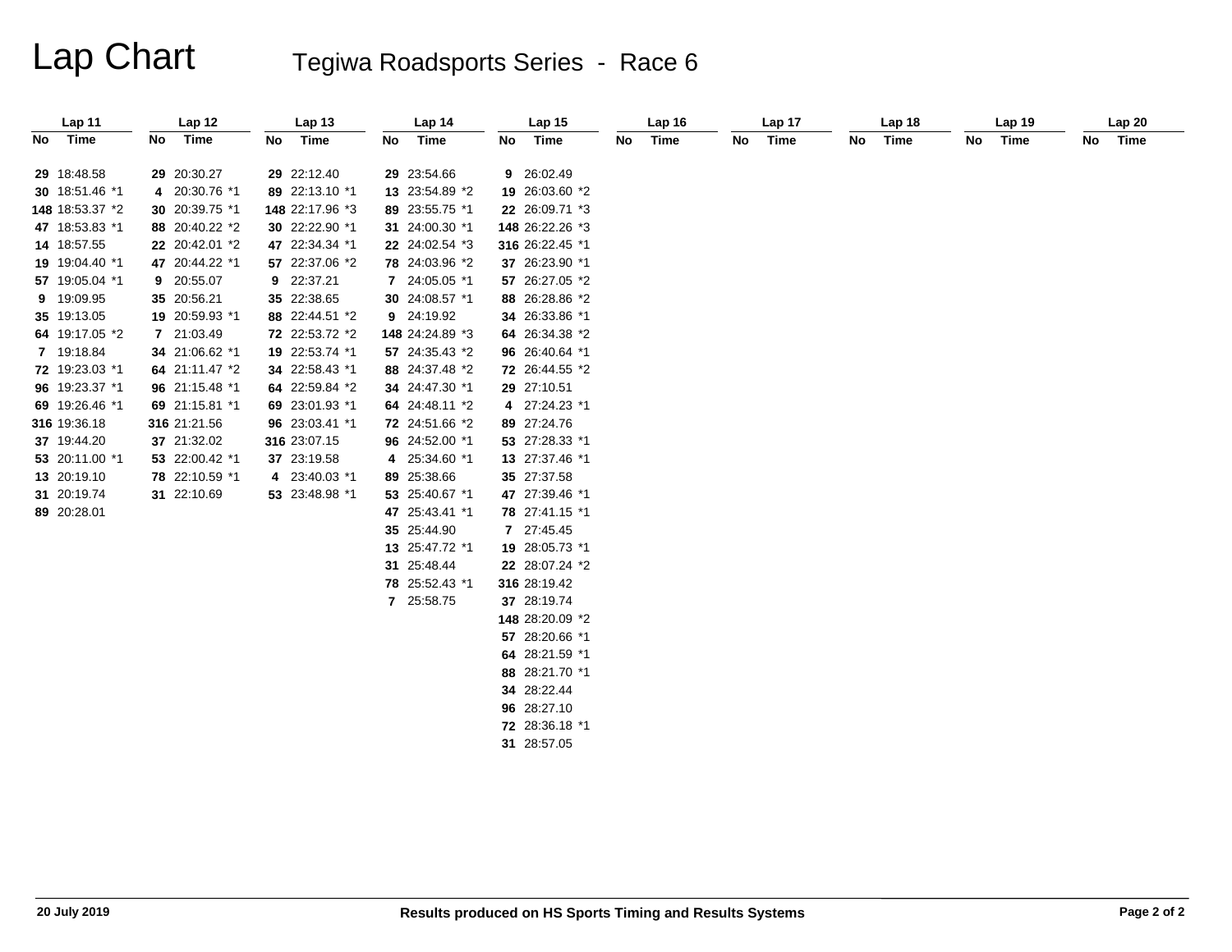# Lap Chart Tegiwa Roadsports Series - Race 6

| Lap 11          |     | Lap 12         | Lap <sub>13</sub> |     | Lap 14          | Lap <sub>15</sub> | Lap <sub>16</sub> |    | Lap 17 |    | Lap 18 |    | Lap <sub>19</sub> | Lap20   |  |
|-----------------|-----|----------------|-------------------|-----|-----------------|-------------------|-------------------|----|--------|----|--------|----|-------------------|---------|--|
| No Time         | No. | Time           | No Time           | No. | Time            | No Time           | No Time           | No | Time   | No | Time   | No | Time              | No Time |  |
|                 |     |                |                   |     |                 |                   |                   |    |        |    |        |    |                   |         |  |
| 29 18:48.58     |     | 29 20:30.27    | 29 22:12.40       |     | 29 23:54.66     | 9 26:02.49        |                   |    |        |    |        |    |                   |         |  |
| 30 18:51.46 *1  |     | 4 20:30.76 *1  | 89 22:13.10 *1    |     | 13 23:54.89 *2  | 19 26:03.60 *2    |                   |    |        |    |        |    |                   |         |  |
| 148 18:53.37 *2 |     | 30 20:39.75 *1 | 148 22:17.96 *3   |     | 89 23:55.75 *1  | 22 26:09.71 *3    |                   |    |        |    |        |    |                   |         |  |
| 47 18:53.83 *1  |     | 88 20:40.22 *2 | 30 22:22.90 *1    |     | 31 24:00.30 *1  | 148 26:22.26 *3   |                   |    |        |    |        |    |                   |         |  |
| 14 18:57.55     |     | 22 20:42.01 *2 | 47 22:34.34 *1    |     | 22 24:02.54 *3  | 316 26:22.45 *1   |                   |    |        |    |        |    |                   |         |  |
| 19 19:04.40 *1  |     | 47 20:44.22 *1 | 57 22:37.06 *2    |     | 78 24:03.96 *2  | 37 26:23.90 *1    |                   |    |        |    |        |    |                   |         |  |
| 57 19:05.04 *1  |     | 9 20:55.07     | 9 22:37.21        |     | 7 24:05.05 *1   | 57 26:27.05 *2    |                   |    |        |    |        |    |                   |         |  |
| 9 19:09.95      |     | 35 20:56.21    | 35 22:38.65       |     | 30 24:08.57 *1  | 88 26:28.86 *2    |                   |    |        |    |        |    |                   |         |  |
| 35 19:13.05     |     | 19 20:59.93 *1 | 88 22:44.51 *2    |     | 9 24:19.92      | 34 26:33.86 *1    |                   |    |        |    |        |    |                   |         |  |
| 64 19:17.05 *2  |     | 7 21:03.49     | 72 22:53.72 *2    |     | 148 24:24.89 *3 | 64 26:34.38 *2    |                   |    |        |    |        |    |                   |         |  |
| 7 19:18.84      |     | 34 21:06.62 *1 | 19 22:53.74 *1    |     | 57 24:35.43 *2  | 96 26:40.64 *1    |                   |    |        |    |        |    |                   |         |  |
| 72 19:23.03 *1  |     | 64 21:11.47 *2 | 34 22:58.43 *1    |     | 88 24:37.48 *2  | 72 26:44.55 *2    |                   |    |        |    |        |    |                   |         |  |
| 96 19:23.37 *1  |     | 96 21:15.48 *1 | 64 22:59.84 *2    |     | 34 24:47.30 *1  | 29 27:10.51       |                   |    |        |    |        |    |                   |         |  |
| 69 19:26.46 *1  |     | 69 21:15.81 *1 | 69 23:01.93 *1    |     | 64 24:48.11 *2  | 4 27:24.23 *1     |                   |    |        |    |        |    |                   |         |  |
| 316 19:36.18    |     | 316 21:21.56   | 96 23:03.41 *1    |     | 72 24:51.66 *2  | 89 27:24.76       |                   |    |        |    |        |    |                   |         |  |
| 37 19:44.20     |     | 37 21:32.02    | 316 23:07.15      |     | 96 24:52.00 *1  | 53 27:28.33 *1    |                   |    |        |    |        |    |                   |         |  |
| 53 20:11.00 *1  |     | 53 22:00.42 *1 | 37 23:19.58       |     | 4 25:34.60 *1   | 13 27:37.46 *1    |                   |    |        |    |        |    |                   |         |  |
| 13 20:19.10     |     | 78 22:10.59 *1 | 4 23:40.03 *1     |     | 89 25:38.66     | 35 27:37.58       |                   |    |        |    |        |    |                   |         |  |
| 31 20:19.74     |     | 31 22:10.69    | 53 23:48.98 *1    |     | 53 25:40.67 *1  | 47 27:39.46 *1    |                   |    |        |    |        |    |                   |         |  |
| 89 20:28.01     |     |                |                   |     | 47 25:43.41 *1  | 78 27:41.15 *1    |                   |    |        |    |        |    |                   |         |  |
|                 |     |                |                   |     | 35 25:44.90     | 7 27:45.45        |                   |    |        |    |        |    |                   |         |  |
|                 |     |                |                   |     | 13 25:47.72 *1  | 19 28:05.73 *1    |                   |    |        |    |        |    |                   |         |  |
|                 |     |                |                   |     | 31 25:48.44     | 22 28:07.24 *2    |                   |    |        |    |        |    |                   |         |  |
|                 |     |                |                   |     | 78 25:52.43 *1  | 316 28:19.42      |                   |    |        |    |        |    |                   |         |  |
|                 |     |                |                   |     | 7 25:58.75      | 37 28:19.74       |                   |    |        |    |        |    |                   |         |  |
|                 |     |                |                   |     |                 | 148 28:20.09 *2   |                   |    |        |    |        |    |                   |         |  |
|                 |     |                |                   |     |                 | 57 28:20.66 *1    |                   |    |        |    |        |    |                   |         |  |
|                 |     |                |                   |     |                 | 64 28:21.59 *1    |                   |    |        |    |        |    |                   |         |  |
|                 |     |                |                   |     |                 | 88 28:21.70 *1    |                   |    |        |    |        |    |                   |         |  |
|                 |     |                |                   |     |                 | 34 28:22.44       |                   |    |        |    |        |    |                   |         |  |
|                 |     |                |                   |     |                 | 96 28:27.10       |                   |    |        |    |        |    |                   |         |  |
|                 |     |                |                   |     |                 | 72 28:36.18 *1    |                   |    |        |    |        |    |                   |         |  |
|                 |     |                |                   |     |                 | 31 28:57.05       |                   |    |        |    |        |    |                   |         |  |
|                 |     |                |                   |     |                 |                   |                   |    |        |    |        |    |                   |         |  |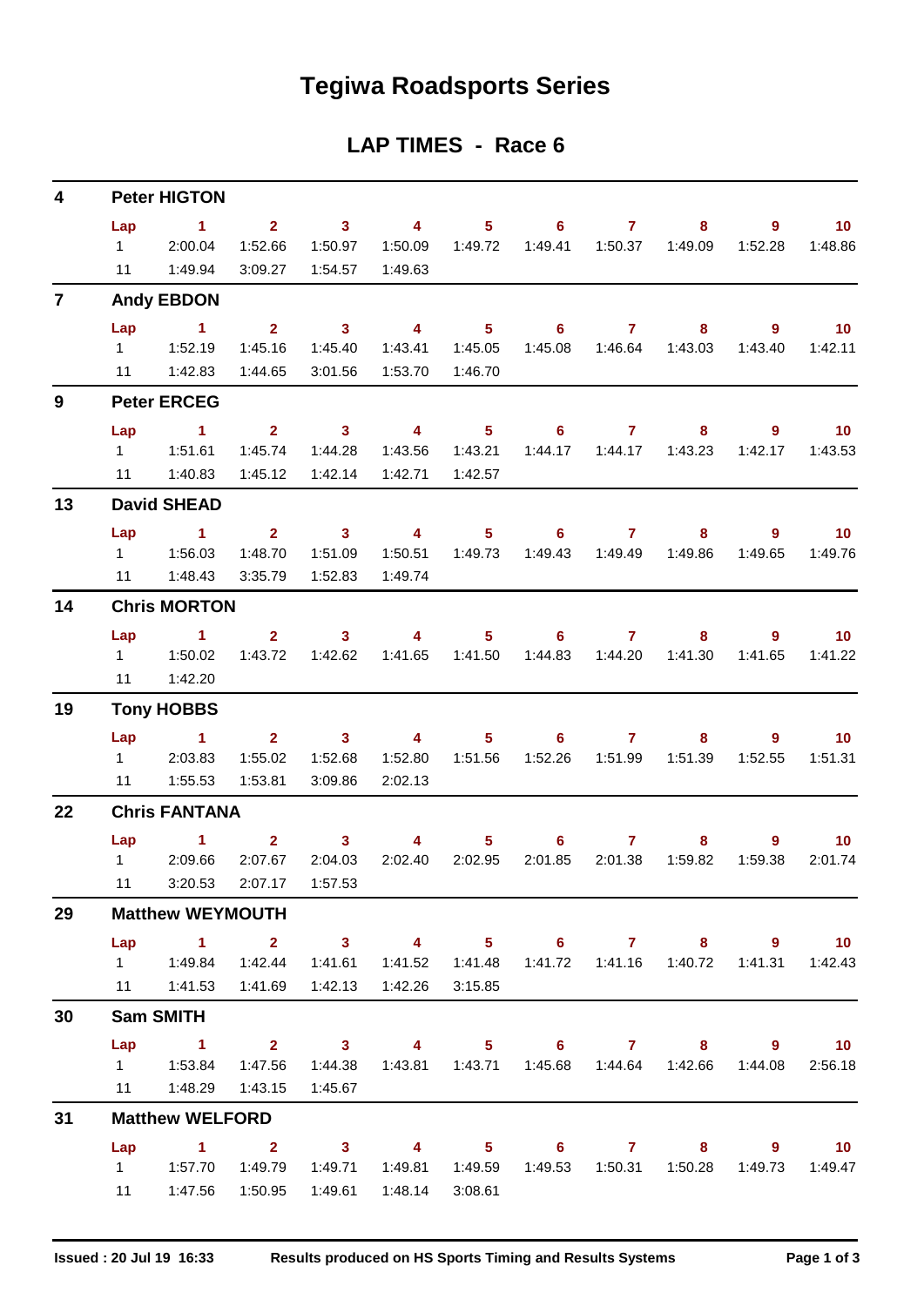# **Tegiwa Roadsports Series**

### **LAP TIMES - Race 6**

| 4              |                             | <b>Peter HIGTON</b>            |                                                 |                                |                                      |                           |                        |                           |                                             |              |                            |
|----------------|-----------------------------|--------------------------------|-------------------------------------------------|--------------------------------|--------------------------------------|---------------------------|------------------------|---------------------------|---------------------------------------------|--------------|----------------------------|
|                | Lap<br>$1 \quad \Box$<br>11 | $\sim$ 1<br>2:00.04<br>1:49.94 | 2 <sup>7</sup><br>1:52.66<br>3:09.27            | $\sim$ 3<br>1:50.97<br>1:54.57 | $\overline{4}$<br>1:50.09<br>1:49.63 | 1:49.72                   | $5 \t\t 6$<br>1:49.41  | $\overline{7}$<br>1:50.37 | 8<br>1:49.09                                | 9<br>1:52.28 | 10 <sup>°</sup><br>1:48.86 |
| $\overline{7}$ |                             | <b>Andy EBDON</b>              |                                                 |                                |                                      |                           |                        |                           |                                             |              |                            |
|                | Lap                         | $\overline{1}$                 | 2 <sup>1</sup>                                  | $\overline{\mathbf{3}}$        | $\overline{\mathbf{4}}$              | 5 <sup>1</sup>            | 6                      | $\mathbf{7}$              | 8                                           | $9^{\circ}$  | 10 <sub>1</sub>            |
|                |                             |                                | 1:45.16                                         | 1:45.40                        | 1:43.41                              | 1:45.05                   | 1:45.08                |                           | 1:46.64  1:43.03                            | 1:43.40      | 1:42.11                    |
|                |                             | 11  1:42.83                    | 1:44.65                                         | 3:01.56                        | 1:53.70                              | 1:46.70                   |                        |                           |                                             |              |                            |
| 9              |                             | <b>Peter ERCEG</b>             |                                                 |                                |                                      |                           |                        |                           |                                             |              |                            |
|                | Lap                         | $\sim$ 1.                      |                                                 | $2 \t 3$                       | $\sim$ 4                             |                           | $5 \t\t 6 \t\t 7$      |                           | 8                                           | 9            | $\blacksquare$ 10          |
|                |                             |                                | 1:45.74                                         | 1:44.28                        | 1:43.56                              | 1:43.21                   | 1:44.17                | 1:44.17                   | 1:43.23                                     | 1:42.17      | 1:43.53                    |
|                | 11                          | 1:40.83                        | 1:45.12                                         | 1:42.14                        | 1:42.71                              | 1:42.57                   |                        |                           |                                             |              |                            |
| 13             |                             | <b>David SHEAD</b>             |                                                 |                                |                                      |                           |                        |                           |                                             |              |                            |
|                | Lap                         | $\blacktriangleleft$           | $2^{\circ}$                                     | $\sim$ 3                       | $\overline{4}$                       | 5 <sub>1</sub>            | 6                      | $\mathbf{7}$              | 8.                                          | $9^{\circ}$  | 10 <sup>°</sup>            |
|                |                             |                                | 1:48.70                                         | 1:51.09                        | 1:50.51                              | 1:49.73                   | 1:49.43                | 1:49.49                   | 1:49.86                                     | 1:49.65      | 1:49.76                    |
|                |                             | 11  1:48.43                    | 3:35.79                                         | 1:52.83                        | 1:49.74                              |                           |                        |                           |                                             |              |                            |
| 14             |                             | <b>Chris MORTON</b>            |                                                 |                                |                                      |                           |                        |                           |                                             |              |                            |
|                | Lap                         | $\sim$ 1                       | 2 <sub>2</sub>                                  | $\sim$ 3                       | 4                                    |                           | $5 \t\t 6 \t\t 7$      |                           | 8                                           | 9            | $\blacksquare$ 10          |
|                |                             |                                | 1:43.72                                         | 1:42.62                        | 1:41.65                              | 1:41.50                   | 1:44.83                | 1:44.20                   | 1:41.30                                     | 1:41.65      | 1:41.22                    |
|                | 11                          | 1:42.20                        |                                                 |                                |                                      |                           |                        |                           |                                             |              |                            |
| 19             |                             | <b>Tony HOBBS</b>              |                                                 |                                |                                      |                           |                        |                           |                                             |              |                            |
|                | Lap                         | $\sim$ 1                       | 2 <sup>7</sup>                                  | $\sim$ 3                       | $\overline{4}$                       | 5 <sub>1</sub>            | 6                      | $\mathbf{7}$              | 8.                                          | $9^{\circ}$  | 10 <sup>°</sup>            |
|                | 11                          | 1 2:03.83<br>1:55.53           | 1:55.02<br>1:53.81                              | 1:52.68<br>3:09.86             | 1:52.80<br>2:02.13                   | 1:51.56                   | 1:52.26                | 1:51.99                   | 1:51.39                                     | 1:52.55      | 1:51.31                    |
| 22             |                             | <b>Chris FANTANA</b>           |                                                 |                                |                                      |                           |                        |                           |                                             |              |                            |
|                |                             |                                |                                                 |                                |                                      |                           |                        |                           |                                             |              |                            |
|                | Lap<br>$1 \quad \Box$       | $\blacksquare$<br>2:09.66      | $\mathbf{2}$<br>2:07.67                         | $\mathbf{3}$<br>2:04.03        | 4<br>2:02.40                         | 5 <sub>1</sub><br>2:02.95 | $6^{\circ}$<br>2:01.85 | $\mathbf{7}$<br>2:01.38   | 8<br>1:59.82                                | 9<br>1:59.38 | 10 <sup>°</sup><br>2:01.74 |
|                | 11                          |                                | 3:20.53 2:07.17 1:57.53                         |                                |                                      |                           |                        |                           |                                             |              |                            |
| 29             |                             | <b>Matthew WEYMOUTH</b>        |                                                 |                                |                                      |                           |                        |                           |                                             |              |                            |
|                |                             | Lap 1 2 3 4 5 6 7 8 9 10       |                                                 |                                |                                      |                           |                        |                           |                                             |              |                            |
|                |                             |                                | 1:42.44                                         | 1:41.61                        |                                      |                           |                        |                           | 1:41.72  1:41.16  1:40.72                   |              | 1:41.31  1:42.43           |
|                |                             | 11  1:41.53  1:41.69           |                                                 | 1:42.13                        | 1:42.26                              | 3:15.85                   |                        |                           |                                             |              |                            |
| 30             |                             | <b>Sam SMITH</b>               |                                                 |                                |                                      |                           |                        |                           |                                             |              |                            |
|                | Lap                         | $\sim$ 1                       | $\overline{\mathbf{2}}$ $\overline{\mathbf{3}}$ |                                |                                      |                           |                        |                           | 4 5 6 7 8 9 10                              |              |                            |
|                |                             |                                |                                                 |                                |                                      |                           |                        |                           | 1:43.81  1:43.71  1:45.68  1:44.64  1:42.66 | 1:44.08      | 2:56.18                    |
|                |                             | 11   1:48.29                   | 1:43.15                                         | 1:45.67                        |                                      |                           |                        |                           |                                             |              |                            |
| 31             |                             | <b>Matthew WELFORD</b>         |                                                 |                                |                                      |                           |                        |                           |                                             |              |                            |
|                | Lap                         | 1 2 3 4 5 6 7 8 9 10           |                                                 |                                |                                      |                           |                        |                           |                                             |              |                            |
|                |                             |                                | 1:49.79                                         | 1:49.71                        |                                      | 1:49.81  1:49.59          |                        |                           | 1:49.53  1:50.31  1:50.28                   |              | 1:49.73  1:49.47           |
|                | 11                          |                                | 1:47.56 1:50.95                                 | 1:49.61                        | 1:48.14                              | 3:08.61                   |                        |                           |                                             |              |                            |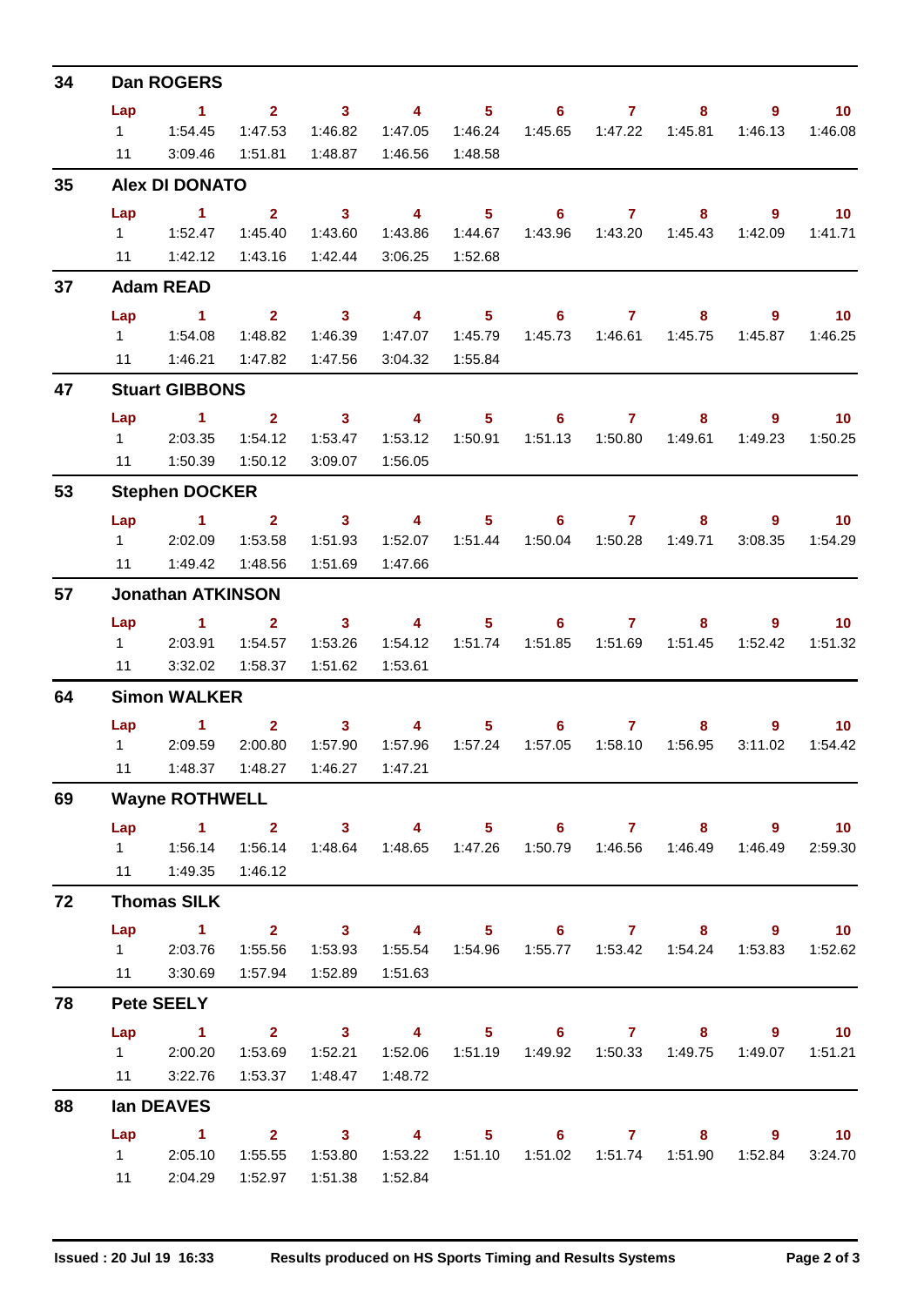| 34 |                | Dan ROGERS                                                                                                                                                                                                                                                  |                |                         |                         |                  |                            |                |                                             |             |                   |
|----|----------------|-------------------------------------------------------------------------------------------------------------------------------------------------------------------------------------------------------------------------------------------------------------|----------------|-------------------------|-------------------------|------------------|----------------------------|----------------|---------------------------------------------|-------------|-------------------|
|    | Lap            | $\sim$ 1                                                                                                                                                                                                                                                    |                | $2 \t 3$                | $\sim$ 4 $\sim$         |                  | $5 \t\t 6 \t\t 7$          |                | 8                                           | 9           | $\blacksquare$ 10 |
|    |                | 111.54.45                                                                                                                                                                                                                                                   | 1:47.53        | 1:46.82                 | 1:47.05                 | 1:46.24          | 1:45.65                    |                | 1:47.22  1:45.81                            | 1:46.13     | 1:46.08           |
|    | 11             | 3:09.46                                                                                                                                                                                                                                                     | 1:51.81        | 1:48.87                 | 1:46.56                 | 1:48.58          |                            |                |                                             |             |                   |
| 35 |                | <b>Alex DI DONATO</b>                                                                                                                                                                                                                                       |                |                         |                         |                  |                            |                |                                             |             |                   |
|    | Lap            | $\sim$ 1                                                                                                                                                                                                                                                    | 2 <sup>1</sup> | $\sim$ 3                | $\overline{\mathbf{4}}$ | 5 <sub>1</sub>   | 6                          | $\mathbf{7}$   | 8                                           | $9^{\circ}$ | 10                |
|    |                | 1 1:52.47                                                                                                                                                                                                                                                   | 1:45.40        | 1:43.60                 | 1:43.86                 | 1:44.67          |                            |                |                                             | 1:42.09     | 1:41.71           |
|    |                | 11   1:42.12                                                                                                                                                                                                                                                | 1:43.16        | 1:42.44                 | 3:06.25                 | 1:52.68          |                            |                |                                             |             |                   |
| 37 |                | <b>Adam READ</b>                                                                                                                                                                                                                                            |                |                         |                         |                  |                            |                |                                             |             |                   |
|    | Lap            | $\sim$ 1                                                                                                                                                                                                                                                    |                | $2 \t 3$                | $\sim$ 4                |                  | $5 \t\t 6 \t\t 7$          |                | 8                                           | 9           | $\sim$ 10         |
|    |                |                                                                                                                                                                                                                                                             | 1:48.82        | 1:46.39                 | 1:47.07                 | 1:45.79          |                            |                | 1:45.75                                     | 1:45.87     | 1:46.25           |
|    |                | 11   1:46.21                                                                                                                                                                                                                                                | 1:47.82        | 1:47.56                 |                         | 3:04.32  1:55.84 |                            |                |                                             |             |                   |
| 47 |                | <b>Stuart GIBBONS</b>                                                                                                                                                                                                                                       |                |                         |                         |                  |                            |                |                                             |             |                   |
|    | Lap            | $\blacktriangleleft$                                                                                                                                                                                                                                        | $2^{\circ}$    | $\sim$ 3                | $\overline{\mathbf{4}}$ | $5 -$            | $\overline{\phantom{a}}$ 6 | $\overline{7}$ | 8                                           | $9^{\circ}$ | 10 <sub>1</sub>   |
|    |                | 1 2:03.35                                                                                                                                                                                                                                                   | 1:54.12        | 1:53.47                 | 1:53.12                 | 1:50.91          |                            |                | 1:51.13  1:50.80  1:49.61                   | 1:49.23     | 1:50.25           |
|    |                | 11  1:50.39                                                                                                                                                                                                                                                 | 1:50.12        | 3:09.07                 | 1:56.05                 |                  |                            |                |                                             |             |                   |
| 53 |                | <b>Stephen DOCKER</b>                                                                                                                                                                                                                                       |                |                         |                         |                  |                            |                |                                             |             |                   |
|    | Lap            | $\overline{1}$ $\overline{2}$                                                                                                                                                                                                                               |                | $\overline{\mathbf{3}}$ | $\overline{\mathbf{4}}$ |                  | $5 \t\t 6 \t\t 7$          |                | 8                                           | 9           | $\sim$ 10         |
|    |                | 1 2:02.09                                                                                                                                                                                                                                                   | 1:53.58        | 1:51.93                 | 1:52.07                 | 1:51.44          | 1:50.04                    | 1:50.28        | 1:49.71                                     | 3:08.35     | 1:54.29           |
|    |                | 11   1:49.42                                                                                                                                                                                                                                                | 1:48.56        | 1:51.69                 | 1:47.66                 |                  |                            |                |                                             |             |                   |
| 57 |                | <b>Jonathan ATKINSON</b>                                                                                                                                                                                                                                    |                |                         |                         |                  |                            |                |                                             |             |                   |
|    | Lap            | $\sim$ 1                                                                                                                                                                                                                                                    | $2^{\circ}$    | $\sim$ 3                | $\sim$ 4                |                  | $5 \t\t 6 \t\t 7$          |                | 8                                           | 9           | 10                |
|    |                | 1 2:03.91                                                                                                                                                                                                                                                   | 1:54.57        | 1:53.26                 | 1:54.12                 | 1:51.74          |                            |                |                                             | 1:52.42     | 1:51.32           |
|    | 11             | 3:32.02                                                                                                                                                                                                                                                     | 1:58.37        | 1:51.62                 | 1:53.61                 |                  |                            |                |                                             |             |                   |
| 64 |                | <b>Simon WALKER</b>                                                                                                                                                                                                                                         |                |                         |                         |                  |                            |                |                                             |             |                   |
|    |                | <b>Lap</b> and the set of the set of the set of the set of the set of the set of the set of the set of the set of the set of the set of the set of the set of the set of the set of the set of the set of the set of the set of the<br>$\blacktriangleleft$ | $\mathbf{2}$   | 3 <sup>1</sup>          | 4                       |                  | $6^{\circ}$<br>$5^{\circ}$ | $\mathbf{7}$   | 8                                           | 9           | 10 <sup>°</sup>   |
|    | $1 \quad \Box$ | 2:09.59                                                                                                                                                                                                                                                     | 2:00.80        | 1:57.90                 | 1:57.96                 | 1:57.24          | 1:57.05                    | 1:58.10        | 1:56.95                                     | 3:11.02     | 1:54.42           |
|    |                | 11   1:48.37   1:48.27   1:46.27   1:47.21                                                                                                                                                                                                                  |                |                         |                         |                  |                            |                |                                             |             |                   |
| 69 |                | <b>Wayne ROTHWELL</b>                                                                                                                                                                                                                                       |                |                         |                         |                  |                            |                |                                             |             |                   |
|    | Lap            | 1 2 3 4 5 6 7 8 9 10                                                                                                                                                                                                                                        |                |                         |                         |                  |                            |                |                                             |             |                   |
|    |                |                                                                                                                                                                                                                                                             | 1:56.14        | 1:48.64                 |                         |                  |                            |                |                                             | 1:46.49     | 2:59.30           |
|    |                | 11  1:49.35                                                                                                                                                                                                                                                 | 1:46.12        |                         |                         |                  |                            |                |                                             |             |                   |
| 72 |                | <b>Thomas SILK</b>                                                                                                                                                                                                                                          |                |                         |                         |                  |                            |                |                                             |             |                   |
|    | Lap            | $\sim$ 1                                                                                                                                                                                                                                                    |                | $2 \t 3$                |                         |                  |                            |                | 4 5 6 7 8 9 10                              |             |                   |
|    |                | 1 2:03.76                                                                                                                                                                                                                                                   |                | 1:55.56  1:53.93        |                         |                  |                            |                |                                             |             | 1:53.83  1:52.62  |
|    |                | 11 3:30.69                                                                                                                                                                                                                                                  | 1:57.94        | 1:52.89                 | 1:51.63                 |                  |                            |                |                                             |             |                   |
| 78 |                | <b>Pete SEELY</b>                                                                                                                                                                                                                                           |                |                         |                         |                  |                            |                |                                             |             |                   |
|    | Lap            | $\sim$ $\sim$ 1.                                                                                                                                                                                                                                            |                | 2 3 4 5 6 7 8 9 10      |                         |                  |                            |                |                                             |             |                   |
|    |                | 1 2:00.20                                                                                                                                                                                                                                                   | 1:53.69        | 1:52.21                 |                         |                  |                            |                | 1:52.06  1:51.19  1:49.92  1:50.33  1:49.75 | 1:49.07     | 1:51.21           |
|    |                | 11 3:22.76                                                                                                                                                                                                                                                  |                | 1:53.37   1:48.47       | 1:48.72                 |                  |                            |                |                                             |             |                   |
| 88 |                | lan DEAVES                                                                                                                                                                                                                                                  |                |                         |                         |                  |                            |                |                                             |             |                   |
|    | Lap            | $\sim$ 1                                                                                                                                                                                                                                                    |                | $2 \qquad 3 \qquad 4$   |                         |                  | $5 \t\t 6 \t\t 7$          |                |                                             | $8 - 1$     | $9 \t 10$         |
|    |                | 1 2:05.10                                                                                                                                                                                                                                                   |                |                         |                         |                  |                            |                |                                             |             | 3:24.70           |
|    | 11             | 2:04.29                                                                                                                                                                                                                                                     | 1:52.97        | 1:51.38                 | 1:52.84                 |                  |                            |                |                                             |             |                   |